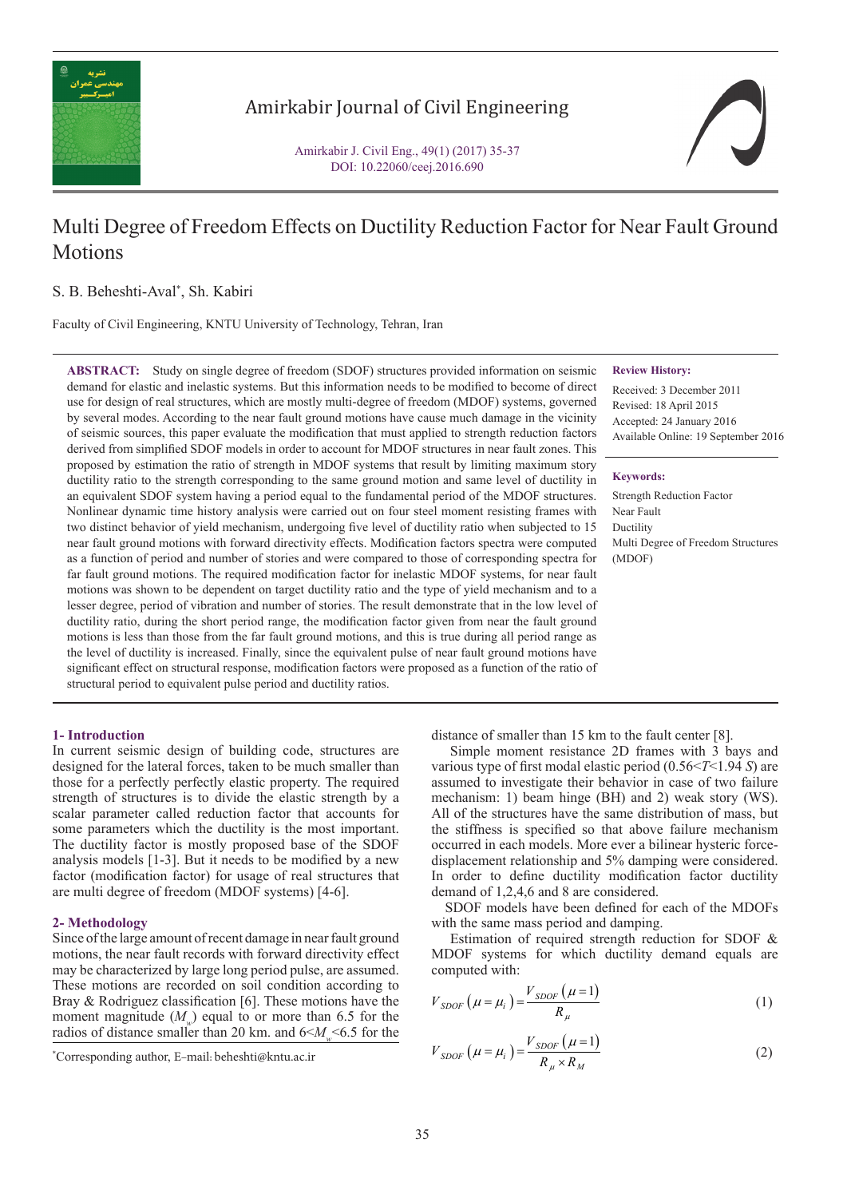

## Amirkabir Journal of Civil Engineering

Amirkabir J. Civil Eng., 49(1) (2017) 35-37 DOI: 10.22060/ceej.2016.690

# Multi Degree of Freedom Effects on Ductility Reduction Factor for Near Fault Ground Motions

#### S. B. Beheshti-Aval\* , Sh. Kabiri

Faculty of Civil Engineering, KNTU University of Technology, Tehran, Iran

**ABSTRACT:** Study on single degree of freedom (SDOF) structures provided information on seismic demand for elastic and inelastic systems. But this information needs to be modified to become of direct use for design of real structures, which are mostly multi-degree of freedom (MDOF) systems, governed by several modes. According to the near fault ground motions have cause much damage in the vicinity of seismic sources, this paper evaluate the modification that must applied to strength reduction factors derived from simplified SDOF models in order to account for MDOF structures in near fault zones. This proposed by estimation the ratio of strength in MDOF systems that result by limiting maximum story ductility ratio to the strength corresponding to the same ground motion and same level of ductility in an equivalent SDOF system having a period equal to the fundamental period of the MDOF structures. Nonlinear dynamic time history analysis were carried out on four steel moment resisting frames with two distinct behavior of yield mechanism, undergoing five level of ductility ratio when subjected to 15 near fault ground motions with forward directivity effects. Modification factors spectra were computed as a function of period and number of stories and were compared to those of corresponding spectra for far fault ground motions. The required modification factor for inelastic MDOF systems, for near fault motions was shown to be dependent on target ductility ratio and the type of yield mechanism and to a lesser degree, period of vibration and number of stories. The result demonstrate that in the low level of ductility ratio, during the short period range, the modification factor given from near the fault ground motions is less than those from the far fault ground motions, and this is true during all period range as the level of ductility is increased. Finally, since the equivalent pulse of near fault ground motions have significant effect on structural response, modification factors were proposed as a function of the ratio of structural period to equivalent pulse period and ductility ratios.

### **Review History:**

Received: 3 December 2011 Revised: 18 April 2015 Accepted: 24 January 2016 Available Online: 19 September 2016

#### **Keywords:**

Strength Reduction Factor Near Fault Ductility Multi Degree of Freedom Structures (MDOF)

#### **1- Introduction**

In current seismic design of building code, structures are designed for the lateral forces, taken to be much smaller than those for a perfectly perfectly elastic property. The required strength of structures is to divide the elastic strength by a scalar parameter called reduction factor that accounts for some parameters which the ductility is the most important. The ductility factor is mostly proposed base of the SDOF analysis models [1-3]. But it needs to be modified by a new factor (modification factor) for usage of real structures that are multi degree of freedom (MDOF systems) [4-6].

#### **2- Methodology**

Since of the large amount of recent damage in near fault ground motions, the near fault records with forward directivity effect may be characterized by large long period pulse, are assumed. These motions are recorded on soil condition according to Bray & Rodriguez classification [6]. These motions have the moment magnitude  $(M<sub>w</sub>)$  equal to or more than 6.5 for the radios of distance smaller than 20 km. and  $6 < M \le 6.5$  for the distance of smaller than 15 km to the fault center [8].

 Simple moment resistance 2D frames with 3 bays and various type of first modal elastic period (0.56<*T*<1.94 *S*) are assumed to investigate their behavior in case of two failure mechanism: 1) beam hinge (BH) and 2) weak story (WS). All of the structures have the same distribution of mass, but the stiffness is specified so that above failure mechanism occurred in each models. More ever a bilinear hysteric forcedisplacement relationship and 5% damping were considered. In order to define ductility modification factor ductility demand of 1,2,4,6 and 8 are considered.

 SDOF models have been defined for each of the MDOFs with the same mass period and damping.

 Estimation of required strength reduction for SDOF & MDOF systems for which ductility demand equals are computed with:

$$
V_{SDOF} \left( \mu = \mu_i \right) = \frac{V_{SDOF} \left( \mu = 1 \right)}{R_{\mu}} \tag{1}
$$

$$
V_{SDOF}(\mu = \mu_i) = \frac{V_{SDOF}(\mu = 1)}{R_{\mu} \times R_{M}}
$$
(2)  
"Corresponding author, E-mail: beheshti@kntu.ac.it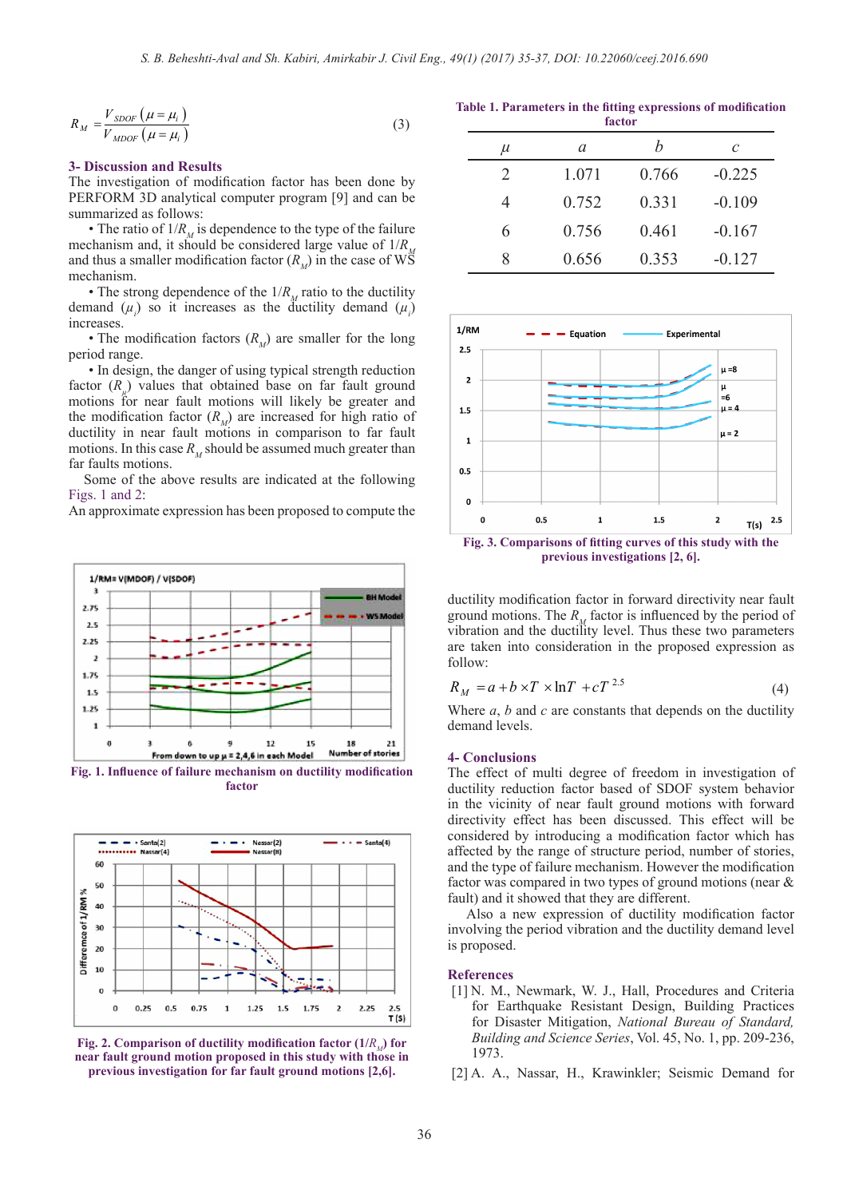$$
R_M = \frac{V_{SDOF} \left(\mu = \mu_i\right)}{V_{MDOF} \left(\mu = \mu_i\right)}
$$
\n(3)

#### **3- Discussion and Results**

The investigation of modification factor has been done by PERFORM 3D analytical computer program [9] and can be summarized as follows:

• The ratio of  $1/R<sub>M</sub>$  is dependence to the type of the failure mechanism and, it should be considered large value of  $1/R<sub>M</sub>$ and thus a smaller modification factor  $(R_{\mu})$  in the case of WS mechanism.

• The strong dependence of the  $1/R<sub>M</sub>$  ratio to the ductility demand  $(\mu_i)$  so it increases as the ductility demand  $(\mu_i)$ increases.

• The modification factors  $(R_{\mu})$  are smaller for the long period range.

• In design, the danger of using typical strength reduction factor (*R<sub>u</sub>*) values that obtained base on far fault ground motions for near fault motions will likely be greater and the modification factor  $(R_M)$  are increased for high ratio of ductility in near fault motions in comparison to far fault motions. In this case  $R_{\mu}$  should be assumed much greater than far faults motions.

 Some of the above results are indicated at the following Figs. 1 and 2:

An approximate expression has been proposed to compute the



**factor**



**Fig. 2. Comparison of ductility modification factor**  $(1/R)$  **for near fault ground motion proposed in this study with those in previous investigation for far fault ground motions [2,6].**

**Table 1. Parameters in the fitting expressions of modification factor**

| $\mu$ | а     | h     | $\mathcal C$ |
|-------|-------|-------|--------------|
| 2     | 1.071 | 0.766 | $-0.225$     |
| 4     | 0.752 | 0.331 | $-0.109$     |
| 6     | 0.756 | 0.461 | $-0.167$     |
| 8     | 0.656 | 0.353 | $-0.127$     |



**previous investigations [2, 6].**

ductility modification factor in forward directivity near fault ground motions. The  $R_M$  factor is influenced by the period of vibration and the ductility level. Thus these two parameters are taken into consideration in the proposed expression as follow:

$$
R_M = a + b \times T \times \ln T + cT^{2.5}
$$
 (4)

Where *a*, *b* and *c* are constants that depends on the ductility demand levels.

#### **4- Conclusions**

The effect of multi degree of freedom in investigation of ductility reduction factor based of SDOF system behavior in the vicinity of near fault ground motions with forward directivity effect has been discussed. This effect will be considered by introducing a modification factor which has affected by the range of structure period, number of stories, and the type of failure mechanism. However the modification factor was compared in two types of ground motions (near & fault) and it showed that they are different.

 Also a new expression of ductility modification factor involving the period vibration and the ductility demand level is proposed.

#### **References**

- [1] N. M., Newmark, W. J., Hall, Procedures and Criteria for Earthquake Resistant Design, Building Practices for Disaster Mitigation, *National Bureau of Standard, Building and Science Series*, Vol. 45, No. 1, pp. 209-236, 1973.
- [2] A. A., Nassar, H., Krawinkler; Seismic Demand for